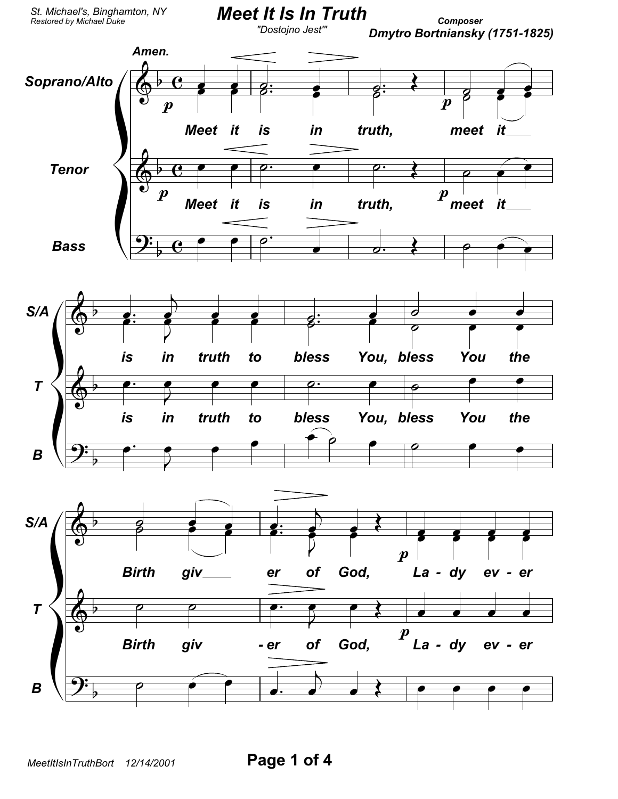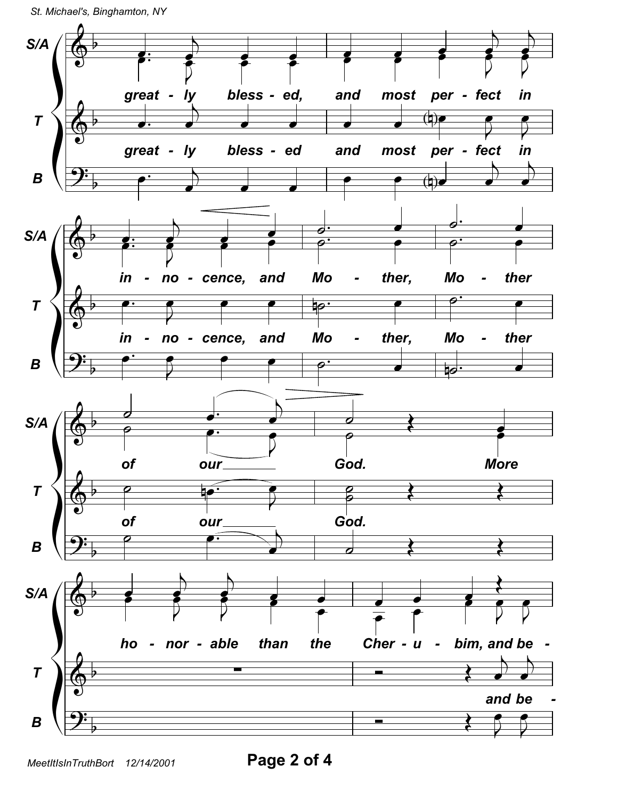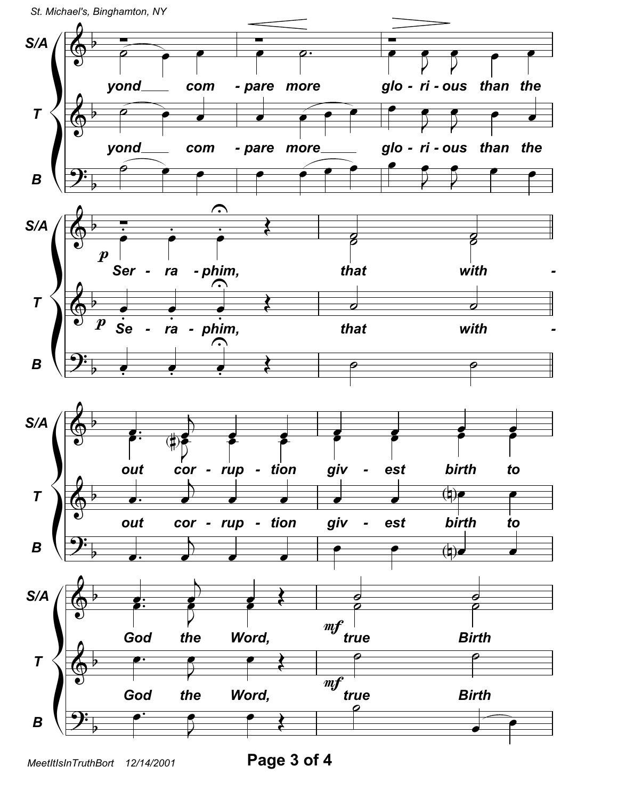

Page 3 of 4